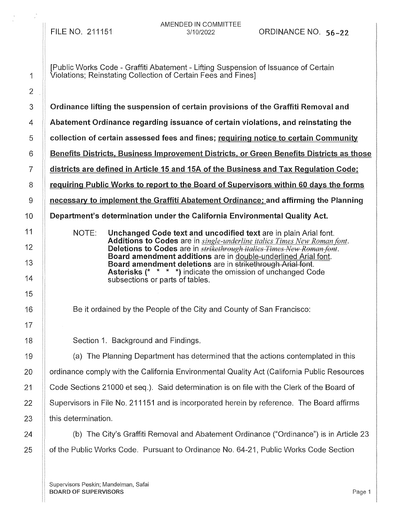FILE NO. 211151

AMENDED IN COMMITTEE

[Public Works Code - Graffiti Abatement - Lifting Suspension of Issuance of Certain Violations; Reinstating Collection of Certain Fees and Fines] Ordinance lifting the suspension of certain provisions of the Graffiti Removal and Abatement Ordinance regarding issuance of certain violations, and reinstating the collection of certain assessed fees and fines; requiring notice to certain Communlty Benefits Districts, Business Improvement Districts, or Green Benefits Districts as those districts are defined in Article 15 and 15A of the Business and Tax Regulation Code; requiring Public Works to report to the Board of Supervisors within 60 days the forms necessary to implement the Graffiti Abatement Ordinance; and affirming the Planning Department's determination under the California Environmental Quality Act. NOTE: Unchanged Code text and uncodified text are in plain Arial font. Additions to Codes are in *single-underline italics Times New Roman {Ont.*  Deletions to Codes are in *strikethrough italics Times New Roman font.* Board amendment additions are in double-underlined Arial font. Board amendment deletions are in strikethrough Arial font. Asterisks (\* \* \* \*) indicate the omission of unchanged Code subsections or parts of tables. Be it ordained by the People of the City and County of San Francisco: 18 **Section 1. Background and Findings.** 19 (a) The Planning Department has determined that the actions contemplated in this 20 | ordinance comply with the California Environmental Quality Act (California Public Resources 21 Code Sections 21000 et seq.). Said determination is on file with the Clerk of the Board of 22 Supervisors in File No. 211151 and is incorporated herein by reference. The Board affirms  $23$  || this determination. 24  $\parallel$  (b) The City's Graffiti Removal and Abatement Ordinance ("Ordinance") is in Article 23 25 **of the Public Works Code. Pursuant to Ordinance No. 64-21, Public Works Code Section** 

Supervisors Peskin; Mandelman, Safai BOARD OF SUPERVISORS **Page 1**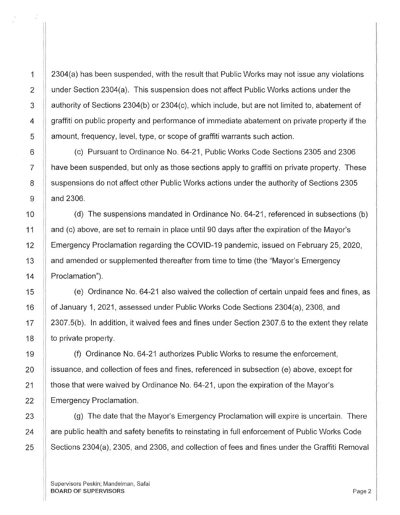1 2304(a) has been suspended, with the result that Public Works may not issue any violations  $\parallel$  under Section 2304(a). This suspension does not affect Public Works actions under the | authority of Sections 2304(b) or 2304(c), which include, but are not limited to, abatement of || graffiti on public property and performance of immediate abatement on private property if the **Lamount, frequency, level, type, or scope of graffiti warrants such action.** 

6 (c) Pursuant to Ordinance No. 64-21, Public Works Code Sections 2305 and 2306  $7$   $\parallel$  have been suspended, but only as those sections apply to graffiti on private property. These 8 | suspensions do not affect other Public Works actions under the authority of Sections 2305  $9 \parallel$  and 2306.

10 (d) The suspensions mandated in Ordinance No. 64-21, referenced in subsections (b) 11 | and (c) above, are set to remain in place until 90 days after the expiration of the Mayor's 12 **Emergency Proclamation regarding the COVID-19 pandemic, issued on February 25, 2020,** 13 And amended or supplemented thereafter from time to time (the "Mayor's Emergency 14 | Proclamation").

15 (e) Ordinance No. 64-21 also waived the collection of certain unpaid fees and fines, as 16 | of January 1, 2021, assessed under Public Works Code Sections 2304(a), 2306, and 17 2307.5(b). In addition, it waived fees and fines under Section 2307.6 to the extent they relate 18  $\parallel$  to private property.

(f) Ordinance No. 64-21 authorizes Public Works to resume the enforcement, **ignor** issuance, and collection of fees and fines, referenced in subsection (e) above, except for **those that were waived by Ordinance No. 64-21, upon the expiration of the Mayor's** 22 | Emergency Proclamation.

23 **(g)** The date that the Mayor's Emergency Proclamation will expire is uncertain. There  $24$  |  $\parallel$  are public health and safety benefits to reinstating in full enforcement of Public Works Code 25 | Sections 2304(a), 2305, and 2306, and collection of fees and fines under the Graffiti Removal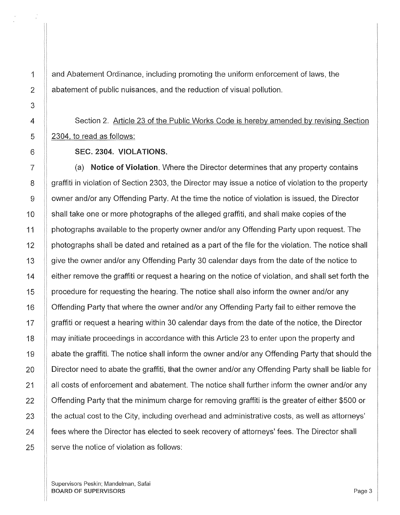and Abatement Ordinance, including promoting the uniform enforcement of laws, the abatement of public nuisances, and the reduction of visual pollution.

## Section 2. Article 23 of the Public Works Code is hereby amended by revising Section 2304, to read as follows:

## SEC. 2304. VIOLATIONS.

(a) Notice of Violation. Where the Director determines that any property contains graffiti in violation of Section 2303, the Director may issue a notice of violation to the property owner and/or any Offending Party. At the time the notice of violation is issued, the Director shall take one or more photographs of the alleged graffiti, and shall make copies of the photographs available to the property owner and/or any Offending Party upon request. The photographs shall be dated and retained as a part of the file for the violation. The notice shall give the owner and/or any Offending Party 30 calendar days from the date of the notice to either remove the graffiti or request a hearing on the notice of violation, and shall set forth the procedure for requesting the hearing. The notice shall also inform the owner and/or any Offending Party that where the owner and/or any Offending Party fail to either remove the graffiti or request a hearing within 30 calendar days from the date of the notice, the Director may initiate proceedings in accordance with this Article 23 to enter upon the property and abate the graffiti. The notice shall inform the owner and/or any Offending Party that should the Director need to abate the graffiti, that the owner and/or any Offending Party shall be liable for all costs of enforcement and abatement. The notice shall further inform the owner and/or any Offending Party that the minimum charge for removing graffiti is the greater of either \$500 or the actual cost to the City, including overhead and administrative costs, as well as attorneys' fees where the Director has elected to seek recovery of attorneys' fees. The Director shall serve the notice of violation as follows: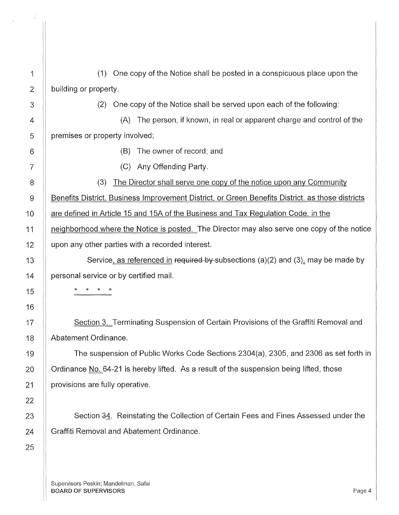| 1               |
|-----------------|
| 2               |
| 3               |
| 4               |
| 5               |
| 6               |
| $\overline{7}$  |
| 8               |
| 9               |
| 10              |
| 11              |
| 12              |
| 13              |
| 14              |
| 15              |
| 16              |
| 17              |
| 18              |
| 19              |
| 20              |
| $\overline{21}$ |
| 22              |
| 23              |
| 24              |
| 25              |

|                       | (1) One copy of the Notice shall be posted in a conspicuous place upon the |
|-----------------------|----------------------------------------------------------------------------|
| building or property. |                                                                            |

(2) One copy of the Notice shall be served upon each of the following:

(A) The person, if known, in real or apparent charge and control of the premises or property involved;

(B) The owner of record; and

(C) Any Offending Party.

(3) The Director shall serve one copy of the notice upon any Community

Benefits District, Business Improvement District, or Green Benefits District. as those districts

are defined in Article 15 and 15A of the Business and Tax Regulation Code. in the

neighborhood where the Notice is posted. The Director may also serve one copy of the notice upon any other parties with a recorded interest.

Service, as referenced in required by subsections (a)(2) and (3), may be made by personal service or by certified mail.

\* \* \* \*

Section 3. Terminating Suspension of Certain Provisions of the Graffiti Removal and Abatement Ordinance.

The suspension of Public Works Code Sections 2304(a), 2305, and 2306 as set forth in Ordinance No. 64-21 is hereby lifted. As a result of the suspension being lifted, those provisions are fully operative.

Section 34. Reinstating the Collection of Certain Fees and Fines Assessed under the Graffiti Removal and Abatement Ordinance.

Supervisors Peskin; Mandelman, Safai BOARD OF SUPERVISORS And the state of the state of the state of the state of the state of the state of the state of the state of the state of the state of the state of the state of the state of the state of the state of th

 $\mathbf{1}$  $\parallel$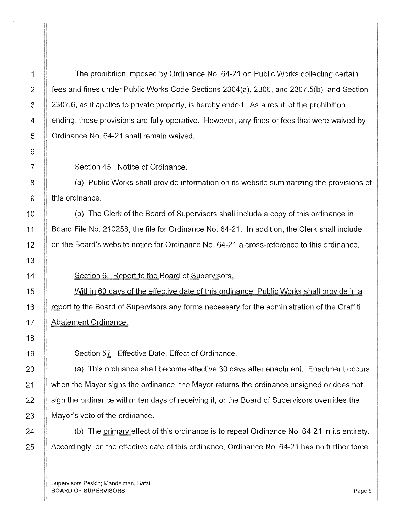The prohibition imposed by Ordinance No. 64-21 on Public Works collecting certain fees and fines under Public Works Code Sections 2304(a), 2306, and 2307.5(b), and Section 2307.6, as it applies to private property, is hereby ended. As a result of the prohibition ending, those provisions are fully operative. However, any fines or fees that were waived by Ordinance No. 64-21 shall remain waived.

Section 4§. Notice of Ordinance.

(a) Public Works shall provide information on its website summarizing the provisions of this ordinance.

(b) The Clerk of the Board of Supervisors shall include a copy of this ordinance in Board File No. 210258, the file for Ordinance No. 64-21. In addition, the Clerk shall include on the Board's website notice for Ordinance No. 64-21 a cross-reference to this ordinance.

Section 6. Report to the Board of Supervisors.

Within 60 days of the effective date of this ordinance, Public Works shall provide in a report to the Board of Supervisors any forms necessary for the administration of the Graffiti Abatement Ordinance.

Section 57. Effective Date; Effect of Ordinance.

(a) This ordinance shall become effective 30 days after enactment. Enactment occurs when the Mayor signs the ordinance, the Mayor returns the ordinance unsigned or does not sign the ordinance within ten days of receiving it, or the Board of Supervisors overrides the Mayor's veto of the ordinance.

(b) The primary effect of this ordinance is to repeal Ordinance No. 64-21 in its entirety. Accordingly, on the effective date of this ordinance, Ordinance No. 64-21 has no further force

Supervisors Peskin; Mandelman, Safai BOARD OF SUPERVISORS **Page 5**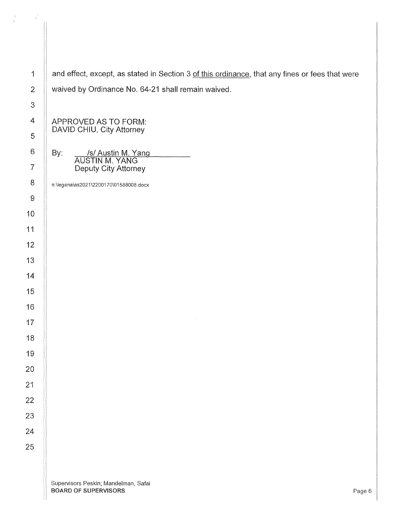| $\mathbf{1}$                                                                               | and effect, except, as stated in Section 3 of this ordinance, that any fines or fees that were |
|--------------------------------------------------------------------------------------------|------------------------------------------------------------------------------------------------|
| $\overline{2}$                                                                             | waived by Ordinance No. 64-21 shall remain waived.                                             |
| $\boldsymbol{3}$                                                                           |                                                                                                |
| 4                                                                                          | APPROVED AS TO FORM:                                                                           |
| 5                                                                                          | DAVID CHIU, City Attorney                                                                      |
| 6<br>/s/ Austin M. Yang<br>AUSTIN M. YANG<br>By:<br>$\overline{7}$<br>Deputy City Attorney |                                                                                                |
|                                                                                            |                                                                                                |
| 8                                                                                          | n:\legana\as2021\2200170\01588008.docx                                                         |
| $\boldsymbol{9}$                                                                           |                                                                                                |
| $\mathbf 0$                                                                                |                                                                                                |
| 1                                                                                          |                                                                                                |
| $\mathbf{2}$                                                                               |                                                                                                |
| $\sqrt{3}$                                                                                 |                                                                                                |
| 4                                                                                          |                                                                                                |
| 5                                                                                          |                                                                                                |
| 6                                                                                          |                                                                                                |
| $\overline{7}$                                                                             |                                                                                                |
| 8                                                                                          |                                                                                                |
| $\Theta$                                                                                   |                                                                                                |
| $\overline{0}$                                                                             |                                                                                                |
| $\mathbf 1$<br>$\overline{2}$                                                              |                                                                                                |
| 3                                                                                          |                                                                                                |
| 4                                                                                          |                                                                                                |
| 5                                                                                          |                                                                                                |
|                                                                                            |                                                                                                |
|                                                                                            |                                                                                                |
|                                                                                            | Supervisore Poskin: Mandolman, Safoi                                                           |

 $\begin{array}{ccc} \mathbf{y}^t & & & & \\ & \mathbf{y}^t & & & \\ & \mathbf{z}^t & & \\ & \mathbf{z}^t & & \\ \end{array}$ 

 $\begin{array}{c} \begin{array}{c} \begin{array}{c} \begin{array}{c} \end{array} \end{array} \end{array} \end{array}$